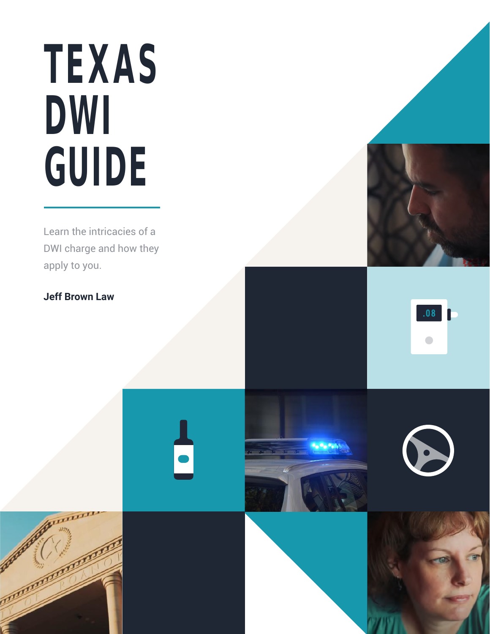# **TEXAS DWI GUIDE**

Learn the intricacies of a DWI charge and how they apply to you.

#### **Jeff Brown Law**





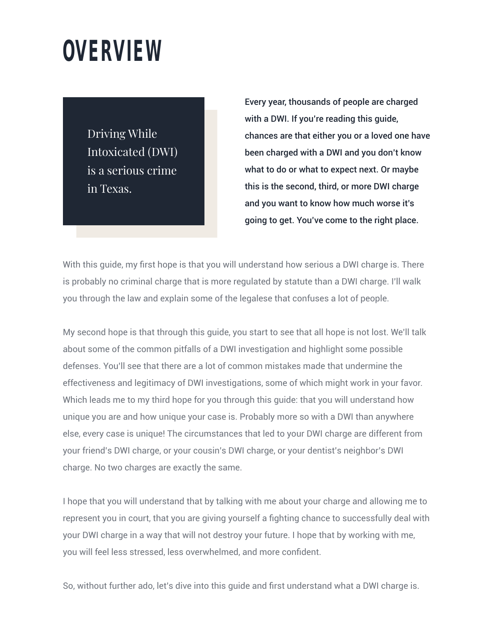#### **OVERVIEW**

Driving While Intoxicated (DWI) is a serious crime in Texas.

Every year, thousands of people are charged with a DWI. If you're reading this guide, chances are that either you or a loved one have been charged with a DWI and you don't know what to do or what to expect next. Or maybe this is the second, third, or more DWI charge and you want to know how much worse it's going to get. You've come to the right place.

With this guide, my first hope is that you will understand how serious a DWI charge is. There is probably no criminal charge that is more regulated by statute than a DWI charge. I'll walk you through the law and explain some of the legalese that confuses a lot of people.

My second hope is that through this guide, you start to see that all hope is not lost. We'll talk about some of the common pitfalls of a DWI investigation and highlight some possible defenses. You'll see that there are a lot of common mistakes made that undermine the effectiveness and legitimacy of DWI investigations, some of which might work in your favor. Which leads me to my third hope for you through this guide: that you will understand how unique you are and how unique your case is. Probably more so with a DWI than anywhere else, every case is unique! The circumstances that led to your DWI charge are different from your friend's DWI charge, or your cousin's DWI charge, or your dentist's neighbor's DWI charge. No two charges are exactly the same.

I hope that you will understand that by talking with me about your charge and allowing me to represent you in court, that you are giving yourself a fighting chance to successfully deal with your DWI charge in a way that will not destroy your future. I hope that by working with me, you will feel less stressed, less overwhelmed, and more confident.

So, without further ado, let's dive into this guide and first understand what a DWI charge is.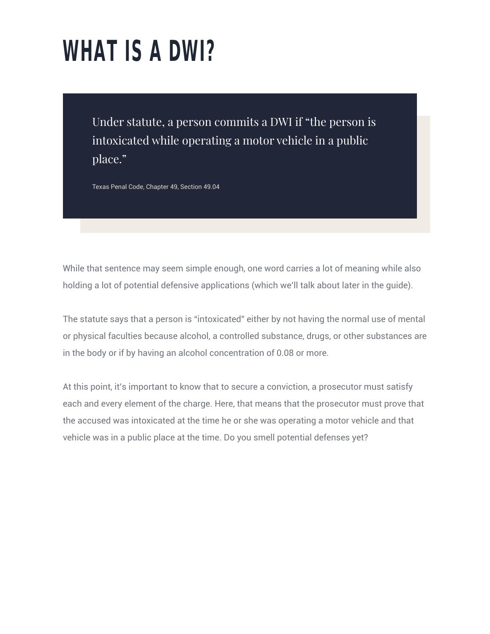## **WHAT IS A DWI?**

Under statute, a person commits a DWI if "the person is intoxicated while operating a motor vehicle in a public place."

Texas Penal Code, Chapter 49, Section 49.04

While that sentence may seem simple enough, one word carries a lot of meaning while also holding a lot of potential defensive applications (which we'll talk about later in the guide).

The statute says that a person is "intoxicated" either by not having the normal use of mental or physical faculties because alcohol, a controlled substance, drugs, or other substances are in the body or if by having an alcohol concentration of 0.08 or more.

At this point, it's important to know that to secure a conviction, a prosecutor must satisfy each and every element of the charge. Here, that means that the prosecutor must prove that the accused was intoxicated at the time he or she was operating a motor vehicle and that vehicle was in a public place at the time. Do you smell potential defenses yet?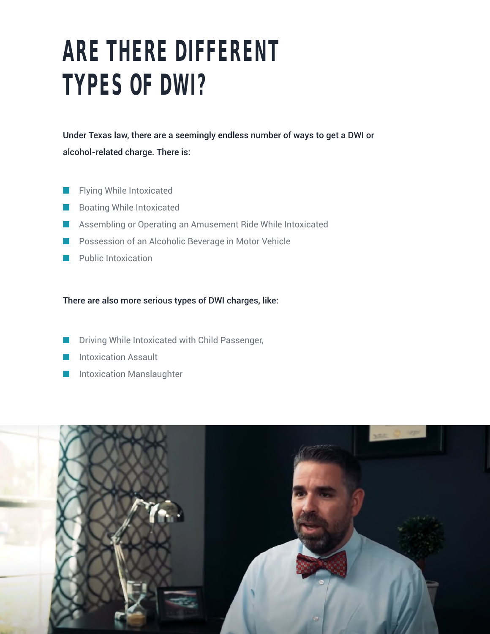#### **ARE THERE DIFFERENT TYPES OF DWI?**

Under Texas law, there are a seemingly endless number of ways to get a DWI or alcohol-related charge. There is:

- Flying While Intoxicated **T**
- Boating While Intoxicated  $\mathcal{L}(\mathcal{A})$
- Assembling or Operating an Amusement Ride While Intoxicated  $\mathcal{L}^{\text{max}}_{\text{max}}$
- **Possession of an Alcoholic Beverage in Motor Vehicle**
- **Public Intoxication**

There are also more serious types of DWI charges, like:

- Driving While Intoxicated with Child Passenger, l a l
- Intoxication Assault
- Intoxication Manslaughter

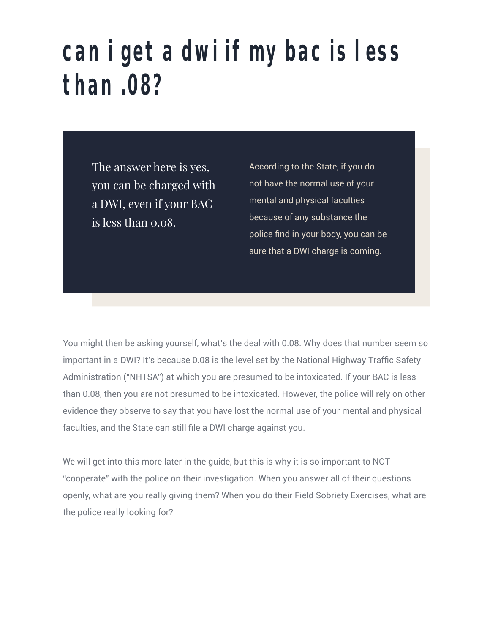#### **can i get a dwi if my bac is less than .08?**

The answer here is yes, you can be charged with a DWI, even if your BAC is less than 0.08.

According to the State, if you do not have the normal use of your mental and physical faculties because of any substance the police find in your body, you can be sure that a DWI charge is coming.

You might then be asking yourself, what's the deal with 0.08. Why does that number seem so important in a DWI? It's because 0.08 is the level set by the National Highway Traffic Safety Administration ("NHTSA") at which you are presumed to be intoxicated. If your BAC is less than 0.08, then you are not presumed to be intoxicated. However, the police will rely on other evidence they observe to say that you have lost the normal use of your mental and physical faculties, and the State can still file a DWI charge against you.

We will get into this more later in the guide, but this is why it is so important to NOT "cooperate" with the police on their investigation. When you answer all of their questions openly, what are you really giving them? When you do their Field Sobriety Exercises, what are the police really looking for?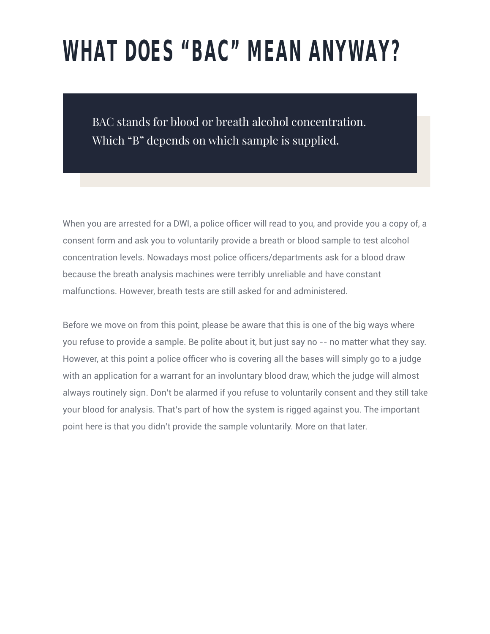### **WHAT DOES "BAC" MEAN ANYWAY?**

BAC stands for blood or breath alcohol concentration. Which "B" depends on which sample is supplied.

When you are arrested for a DWI, a police officer will read to you, and provide you a copy of, a consent form and ask you to voluntarily provide a breath or blood sample to test alcohol concentration levels. Nowadays most police officers/departments ask for a blood draw because the breath analysis machines were terribly unreliable and have constant malfunctions. However, breath tests are still asked for and administered.

Before we move on from this point, please be aware that this is one of the big ways where you refuse to provide a sample. Be polite about it, but just say no -- no matter what they say. However, at this point a police officer who is covering all the bases will simply go to a judge with an application for a warrant for an involuntary blood draw, which the judge will almost always routinely sign. Don't be alarmed if you refuse to voluntarily consent and they still take your blood for analysis. That's part of how the system is rigged against you. The important point here is that you didn't provide the sample voluntarily. More on that later.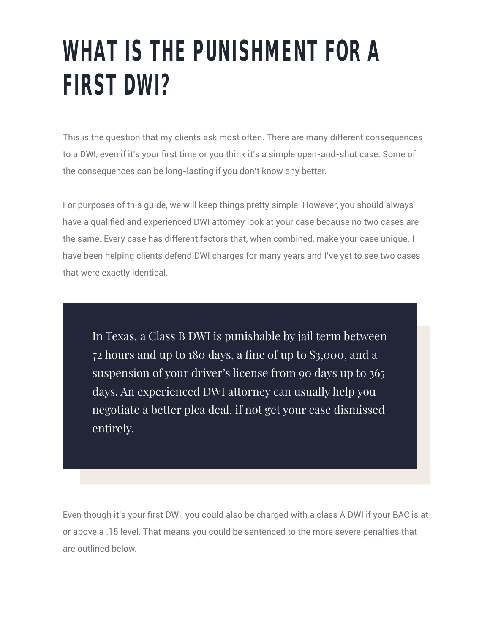#### **WHAT IS THE PUNISHMENT FOR A FIRST DWI?**

This is the question that my clients ask most often. There are many different consequences to a DWI, even if it's your first time or you think it's a simple open-and-shut case. Some of the consequences can be long-lasting if you don't know any better.

For purposes of this guide, we will keep things pretty simple. However, you should always have a qualified and experienced DWI attorney look at your case because no two cases are the same. Every case has different factors that, when combined, make your case unique. I have been helping clients defend DWI charges for many years and I've yet to see two cases that were exactly identical.

In Texas, a Class B DWI is punishable by jail term between 72 hours and up to 180 days, a fine of up to \$3,000, and a suspension of your driver's license from 90 days up to 365 days. An experienced DWI attorney can usually help you negotiate a better plea deal, if not get your case dismissed entirely.

Even though it's your first DWI, you could also be charged with a class A DWI if your BAC is at or above a .15 level. That means you could be sentenced to the more severe penalties that are outlined below.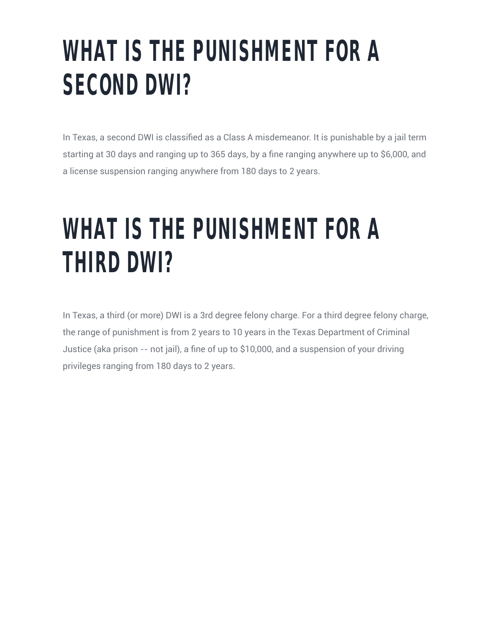### **WHAT IS THE PUNISHMENT FOR A SECOND DWI?**

In Texas, a second DWI is classified as a Class A misdemeanor. It is punishable by a jail term starting at 30 days and ranging up to 365 days, by a fine ranging anywhere up to \$6,000, and a license suspension ranging anywhere from 180 days to 2 years.

#### **WHAT IS THE PUNISHMENT FOR A THIRD DWI?**

In Texas, a third (or more) DWI is a 3rd degree felony charge. For a third degree felony charge, the range of punishment is from 2 years to 10 years in the Texas Department of Criminal Justice (aka prison -- not jail), a fine of up to \$10,000, and a suspension of your driving privileges ranging from 180 days to 2 years.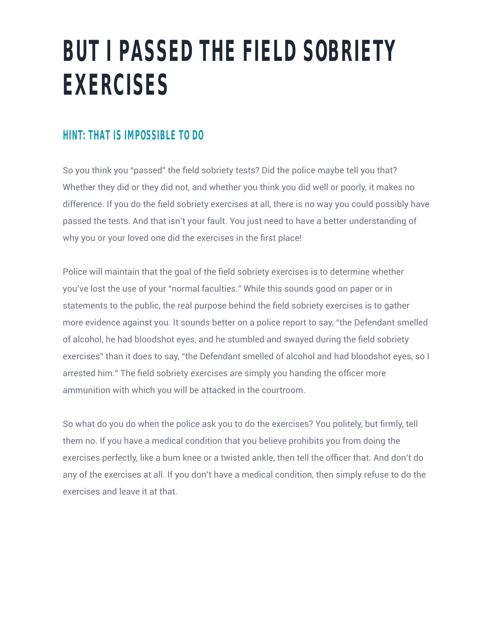#### **BUT I PASSED THE FIELD SOBRIETY EXERCISES**

#### **HINT: THAT IS IMPOSSIBLE TO DO**

So you think you "passed" the field sobriety tests? Did the police maybe tell you that? Whether they did or they did not, and whether you think you did well or poorly, it makes no difference. If you do the field sobriety exercises at all, there is no way you could possibly have passed the tests. And that isn't your fault. You just need to have a better understanding of why you or your loved one did the exercises in the first place!

Police will maintain that the goal of the field sobriety exercises is to determine whether you've lost the use of your "normal faculties." While this sounds good on paper or in statements to the public, the real purpose behind the field sobriety exercises is to gather more evidence against you. It sounds better on a police report to say, "the Defendant smelled of alcohol, he had bloodshot eyes, and he stumbled and swayed during the field sobriety exercises" than it does to say, "the Defendant smelled of alcohol and had bloodshot eyes, so I arrested him." The field sobriety exercises are simply you handing the officer more ammunition with which you will be attacked in the courtroom.

So what do you do when the police ask you to do the exercises? You politely, but firmly, tell them no. If you have a medical condition that you believe prohibits you from doing the exercises perfectly, like a bum knee or a twisted ankle, then tell the officer that. And don't do any of the exercises at all. If you don't have a medical condition, then simply refuse to do the exercises and leave it at that.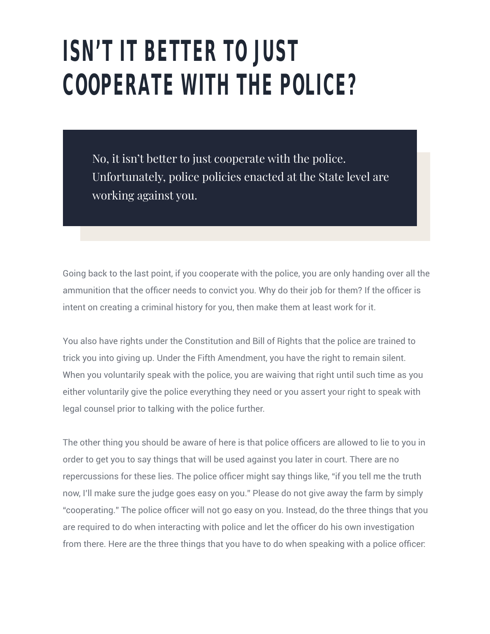### **ISN'T IT BETTER TO JUST COOPERATE WITH THE POLICE?**

No, it isn't better to just cooperate with the police. Unfortunately, police policies enacted at the State level are working against you.

Going back to the last point, if you cooperate with the police, you are only handing over all the ammunition that the officer needs to convict you. Why do their job for them? If the officer is intent on creating a criminal history for you, then make them at least work for it.

You also have rights under the Constitution and Bill of Rights that the police are trained to trick you into giving up. Under the Fifth Amendment, you have the right to remain silent. When you voluntarily speak with the police, you are waiving that right until such time as you either voluntarily give the police everything they need or you assert your right to speak with legal counsel prior to talking with the police further.

The other thing you should be aware of here is that police officers are allowed to lie to you in order to get you to say things that will be used against you later in court. There are no repercussions for these lies. The police officer might say things like, "if you tell me the truth now, I'll make sure the judge goes easy on you." Please do not give away the farm by simply "cooperating." The police officer will not go easy on you. Instead, do the three things that you are required to do when interacting with police and let the officer do his own investigation from there. Here are the three things that you have to do when speaking with a police officer: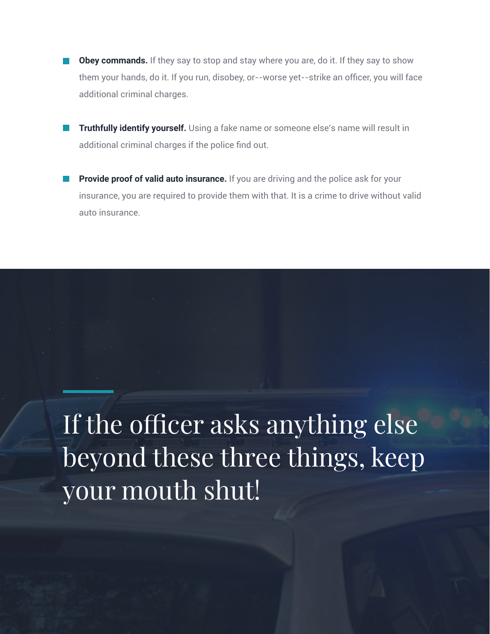- **Obey commands.** If they say to stop and stay where you are, do it. If they say to show them your hands, do it. If you run, disobey, or--worse yet--strike an officer, you will face additional criminal charges.
- **Truthfully identify yourself.** Using a fake name or someone else's name will result in additional criminal charges if the police find out.
- **Provide proof of valid auto insurance.** If you are driving and the police ask for your insurance, you are required to provide them with that. It is a crime to drive without valid auto insurance.

#### If the officer asks anything else beyond these three things, keep your mouth shut!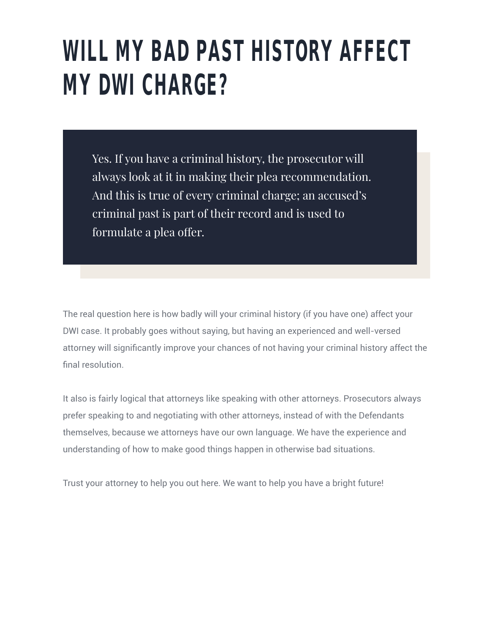#### **WILL MY BAD PAST HISTORY AFFECT MY DWI CHARGE?**

Yes. If you have a criminal history, the prosecutor will always look at it in making their plea recommendation. And this is true of every criminal charge; an accused's criminal past is part of their record and is used to formulate a plea offer.

The real question here is how badly will your criminal history (if you have one) affect your DWI case. It probably goes without saying, but having an experienced and well-versed attorney will significantly improve your chances of not having your criminal history affect the final resolution.

It also is fairly logical that attorneys like speaking with other attorneys. Prosecutors always prefer speaking to and negotiating with other attorneys, instead of with the Defendants themselves, because we attorneys have our own language. We have the experience and understanding of how to make good things happen in otherwise bad situations.

Trust your attorney to help you out here. We want to help you have a bright future!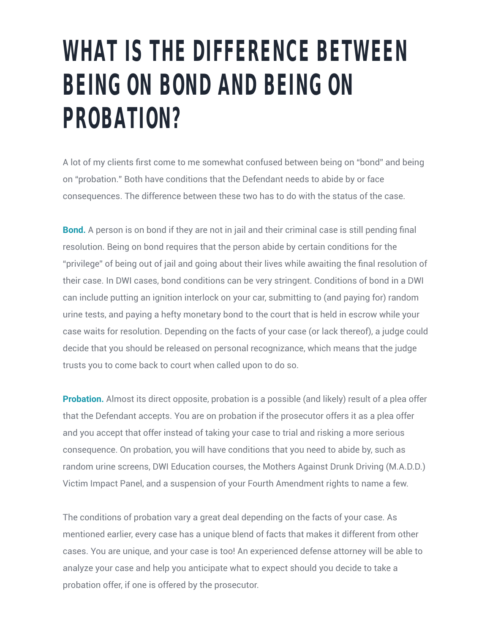#### **WHAT IS THE DIFFERENCE BETWEEN BEING ON BOND AND BEING ON PROBATION?**

A lot of my clients first come to me somewhat confused between being on "bond" and being on "probation." Both have conditions that the Defendant needs to abide by or face consequences. The difference between these two has to do with the status of the case.

**Bond.** A person is on bond if they are not in jail and their criminal case is still pending final resolution. Being on bond requires that the person abide by certain conditions for the "privilege" of being out of jail and going about their lives while awaiting the final resolution of their case. In DWI cases, bond conditions can be very stringent. Conditions of bond in a DWI can include putting an ignition interlock on your car, submitting to (and paying for) random urine tests, and paying a hefty monetary bond to the court that is held in escrow while your case waits for resolution. Depending on the facts of your case (or lack thereof), a judge could decide that you should be released on personal recognizance, which means that the judge trusts you to come back to court when called upon to do so.

**Probation.** Almost its direct opposite, probation is a possible (and likely) result of a plea offer that the Defendant accepts. You are on probation if the prosecutor offers it as a plea offer and you accept that offer instead of taking your case to trial and risking a more serious consequence. On probation, you will have conditions that you need to abide by, such as random urine screens, DWI Education courses, the Mothers Against Drunk Driving (M.A.D.D.) Victim Impact Panel, and a suspension of your Fourth Amendment rights to name a few.

The conditions of probation vary a great deal depending on the facts of your case. As mentioned earlier, every case has a unique blend of facts that makes it different from other cases. You are unique, and your case is too! An experienced defense attorney will be able to analyze your case and help you anticipate what to expect should you decide to take a probation offer, if one is offered by the prosecutor.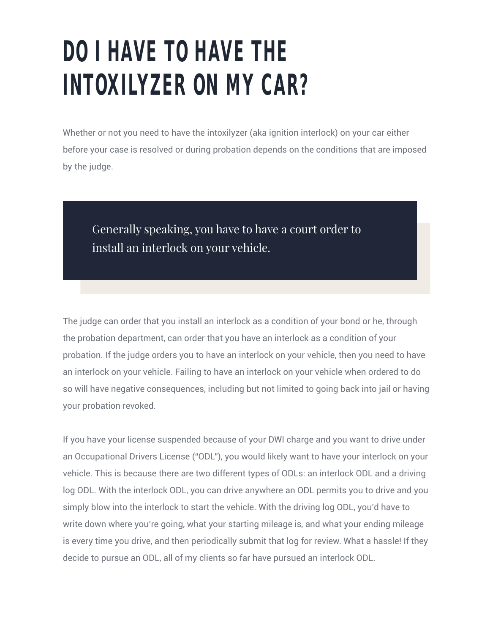#### **DO I HAVE TO HAVE THE INTOXILYZER ON MY CAR?**

Whether or not you need to have the intoxilyzer (aka ignition interlock) on your car either before your case is resolved or during probation depends on the conditions that are imposed by the judge.

Generally speaking, you have to have a court order to install an interlock on your vehicle.

The judge can order that you install an interlock as a condition of your bond or he, through the probation department, can order that you have an interlock as a condition of your probation. If the judge orders you to have an interlock on your vehicle, then you need to have an interlock on your vehicle. Failing to have an interlock on your vehicle when ordered to do so will have negative consequences, including but not limited to going back into jail or having your probation revoked.

If you have your license suspended because of your DWI charge and you want to drive under an Occupational Drivers License ("ODL"), you would likely want to have your interlock on your vehicle. This is because there are two different types of ODLs: an interlock ODL and a driving log ODL. With the interlock ODL, you can drive anywhere an ODL permits you to drive and you simply blow into the interlock to start the vehicle. With the driving log ODL, you'd have to write down where you're going, what your starting mileage is, and what your ending mileage is every time you drive, and then periodically submit that log for review. What a hassle! If they decide to pursue an ODL, all of my clients so far have pursued an interlock ODL.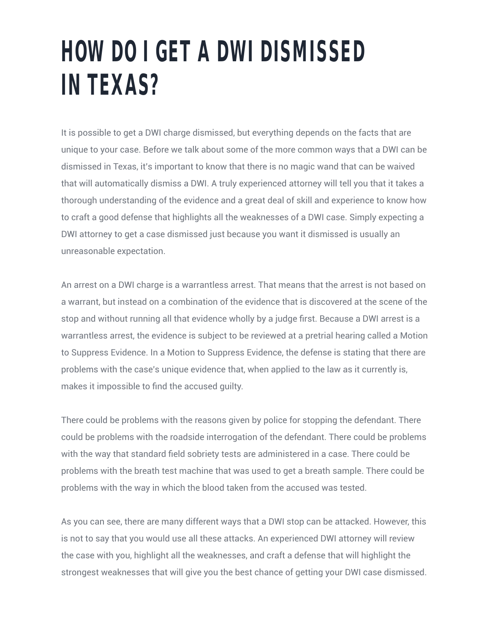#### **HOW DO I GET A DWI DISMISSED IN TEXAS?**

It is possible to get a DWI charge dismissed, but everything depends on the facts that are unique to your case. Before we talk about some of the more common ways that a DWI can be dismissed in Texas, it's important to know that there is no magic wand that can be waived that will automatically dismiss a DWI. A truly experienced attorney will tell you that it takes a thorough understanding of the evidence and a great deal of skill and experience to know how to craft a good defense that highlights all the weaknesses of a DWI case. Simply expecting a DWI attorney to get a case dismissed just because you want it dismissed is usually an unreasonable expectation.

An arrest on a DWI charge is a warrantless arrest. That means that the arrest is not based on a warrant, but instead on a combination of the evidence that is discovered at the scene of the stop and without running all that evidence wholly by a judge first. Because a DWI arrest is a warrantless arrest, the evidence is subject to be reviewed at a pretrial hearing called a Motion to Suppress Evidence. In a Motion to Suppress Evidence, the defense is stating that there are problems with the case's unique evidence that, when applied to the law as it currently is, makes it impossible to find the accused guilty.

There could be problems with the reasons given by police for stopping the defendant. There could be problems with the roadside interrogation of the defendant. There could be problems with the way that standard field sobriety tests are administered in a case. There could be problems with the breath test machine that was used to get a breath sample. There could be problems with the way in which the blood taken from the accused was tested.

As you can see, there are many different ways that a DWI stop can be attacked. However, this is not to say that you would use all these attacks. An experienced DWI attorney will review the case with you, highlight all the weaknesses, and craft a defense that will highlight the strongest weaknesses that will give you the best chance of getting your DWI case dismissed.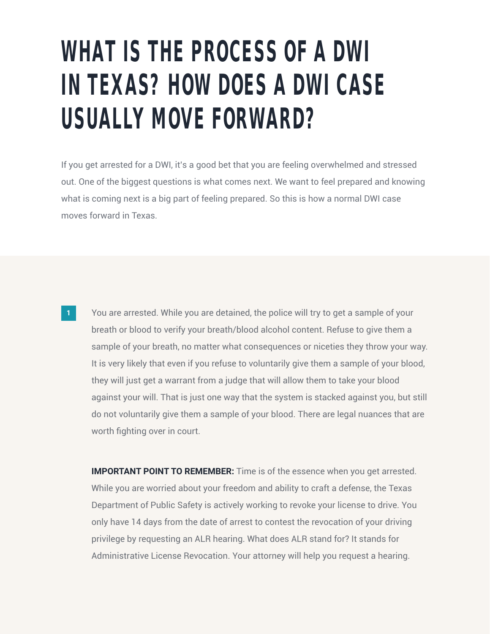#### **WHAT IS THE PROCESS OF A DWI IN TEXAS? HOW DOES A DWI CASE USUALLY MOVE FORWARD?**

If you get arrested for a DWI, it's a good bet that you are feeling overwhelmed and stressed out. One of the biggest questions is what comes next. We want to feel prepared and knowing what is coming next is a big part of feeling prepared. So this is how a normal DWI case moves forward in Texas.

You are arrested. While you are detained, the police will try to get a sample of your breath or blood to verify your breath/blood alcohol content. Refuse to give them a sample of your breath, no matter what consequences or niceties they throw your way. It is very likely that even if you refuse to voluntarily give them a sample of your blood, they will just get a warrant from a judge that will allow them to take your blood against your will. That is just one way that the system is stacked against you, but still do not voluntarily give them a sample of your blood. There are legal nuances that are worth fighting over in court.

**IMPORTANT POINT TO REMEMBER:** Time is of the essence when you get arrested. While you are worried about your freedom and ability to craft a defense, the Texas Department of Public Safety is actively working to revoke your license to drive. You only have 14 days from the date of arrest to contest the revocation of your driving privilege by requesting an ALR hearing. What does ALR stand for? It stands for Administrative License Revocation. Your attorney will help you request a hearing.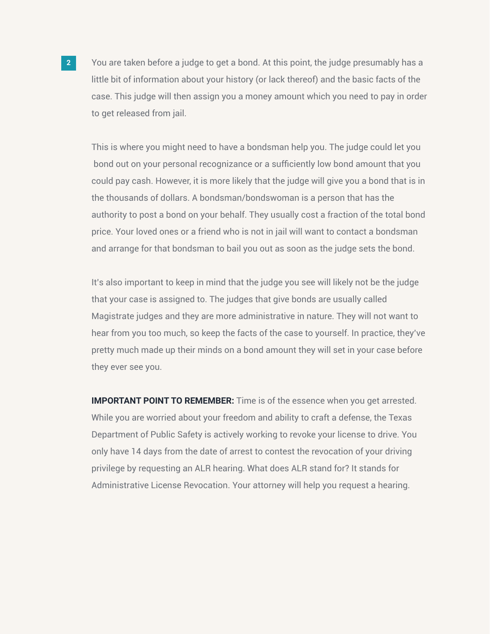You are taken before a judge to get a bond. At this point, the judge presumably has a little bit of information about your history (or lack thereof) and the basic facts of the case. This judge will then assign you a money amount which you need to pay in order to get released from jail.

This is where you might need to have a bondsman help you. The judge could let you bond out on your personal recognizance or a sufficiently low bond amount that you could pay cash. However, it is more likely that the judge will give you a bond that is in the thousands of dollars. A bondsman/bondswoman is a person that has the authority to post a bond on your behalf. They usually cost a fraction of the total bond price. Your loved ones or a friend who is not in jail will want to contact a bondsman and arrange for that bondsman to bail you out as soon as the judge sets the bond.

It's also important to keep in mind that the judge you see will likely not be the judge that your case is assigned to. The judges that give bonds are usually called Magistrate judges and they are more administrative in nature. They will not want to hear from you too much, so keep the facts of the case to yourself. In practice, they've pretty much made up their minds on a bond amount they will set in your case before they ever see you.

**IMPORTANT POINT TO REMEMBER:** Time is of the essence when you get arrested. While you are worried about your freedom and ability to craft a defense, the Texas Department of Public Safety is actively working to revoke your license to drive. You only have 14 days from the date of arrest to contest the revocation of your driving privilege by requesting an ALR hearing. What does ALR stand for? It stands for Administrative License Revocation. Your attorney will help you request a hearing.

**2**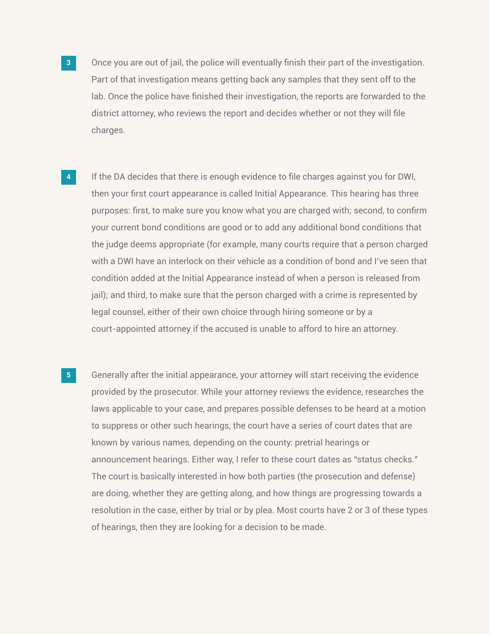- Once you are out of jail, the police will eventually finish their part of the investigation. Part of that investigation means getting back any samples that they sent off to the lab. Once the police have finished their investigation, the reports are forwarded to the district attorney, who reviews the report and decides whether or not they will file charges.
- If the DA decides that there is enough evidence to file charges against you for DWI, then your first court appearance is called Initial Appearance. This hearing has three purposes: first, to make sure you know what you are charged with; second, to confirm your current bond conditions are good or to add any additional bond conditions that the judge deems appropriate (for example, many courts require that a person charged with a DWI have an interlock on their vehicle as a condition of bond and I've seen that condition added at the Initial Appearance instead of when a person is released from jail); and third, to make sure that the person charged with a crime is represented by legal counsel, either of their own choice through hiring someone or by a court-appointed attorney if the accused is unable to afford to hire an attorney. **4**
- Generally after the initial appearance, your attorney will start receiving the evidence provided by the prosecutor. While your attorney reviews the evidence, researches the laws applicable to your case, and prepares possible defenses to be heard at a motion to suppress or other such hearings, the court have a series of court dates that are known by various names, depending on the county: pretrial hearings or announcement hearings. Either way, I refer to these court dates as "status checks." The court is basically interested in how both parties (the prosecution and defense) are doing, whether they are getting along, and how things are progressing towards a resolution in the case, either by trial or by plea. Most courts have 2 or 3 of these types of hearings, then they are looking for a decision to be made. **5**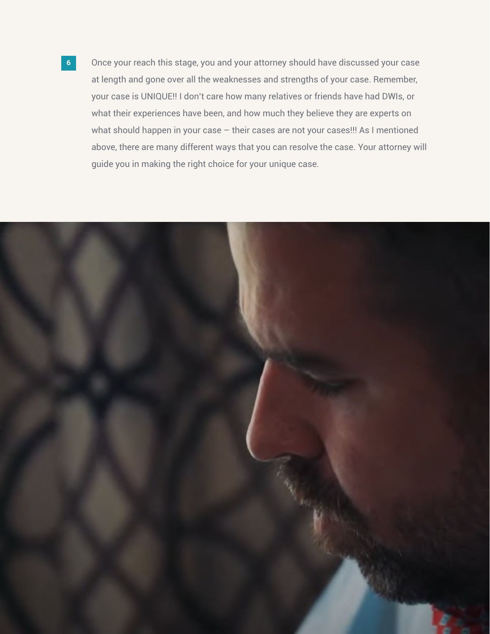Once your reach this stage, you and your attorney should have discussed your case at length and gone over all the weaknesses and strengths of your case. Remember, your case is UNIQUE!! I don't care how many relatives or friends have had DWIs, or what their experiences have been, and how much they believe they are experts on what should happen in your case – their cases are not your cases!!! As I mentioned above, there are many different ways that you can resolve the case. Your attorney will guide you in making the right choice for your unique case.

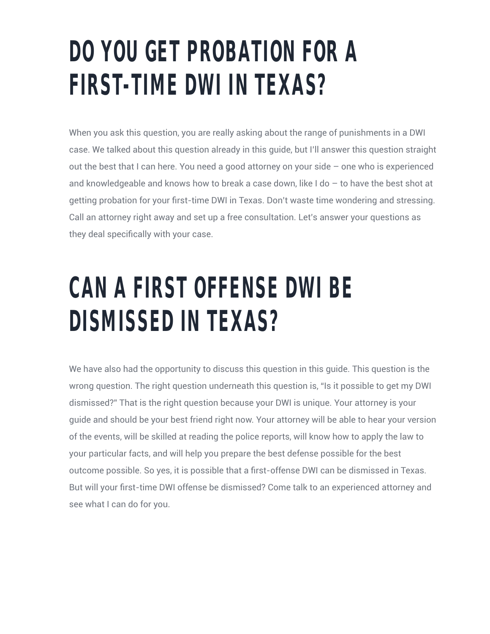#### **DO YOU GET PROBATION FOR A FIRST-TIME DWI IN TEXAS?**

When you ask this question, you are really asking about the range of punishments in a DWI case. We talked about this question already in this guide, but I'll answer this question straight out the best that I can here. You need a good attorney on your side – one who is experienced and knowledgeable and knows how to break a case down, like I do – to have the best shot at getting probation for your first-time DWI in Texas. Don't waste time wondering and stressing. Call an attorney right away and set up a free consultation. Let's answer your questions as they deal specifically with your case.

#### **CAN A FIRST OFFENSE DWI BE DISMISSED IN TEXAS?**

We have also had the opportunity to discuss this question in this guide. This question is the wrong question. The right question underneath this question is, "Is it possible to get my DWI dismissed?" That is the right question because your DWI is unique. Your attorney is your guide and should be your best friend right now. Your attorney will be able to hear your version of the events, will be skilled at reading the police reports, will know how to apply the law to your particular facts, and will help you prepare the best defense possible for the best outcome possible. So yes, it is possible that a first-offense DWI can be dismissed in Texas. But will your first-time DWI offense be dismissed? Come talk to an experienced attorney and see what I can do for you.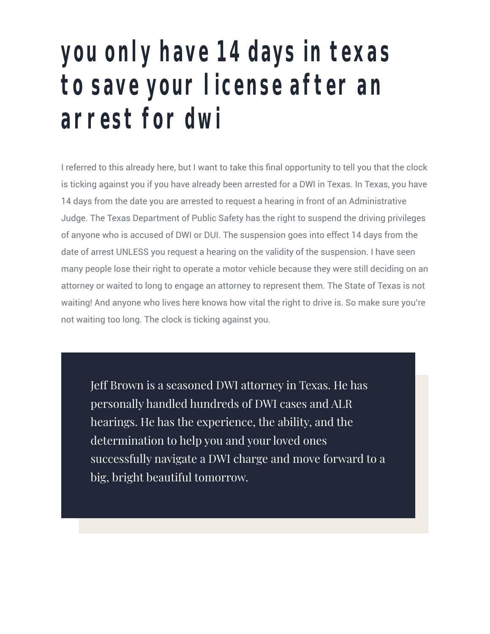#### **you only have 14 days in texas to save your license after an arrest for dwi**

I referred to this already here, but I want to take this final opportunity to tell you that the clock is ticking against you if you have already been arrested for a DWI in Texas. In Texas, you have 14 days from the date you are arrested to request a hearing in front of an Administrative Judge. The Texas Department of Public Safety has the right to suspend the driving privileges of anyone who is accused of DWI or DUI. The suspension goes into effect 14 days from the date of arrest UNLESS you request a hearing on the validity of the suspension. I have seen many people lose their right to operate a motor vehicle because they were still deciding on an attorney or waited to long to engage an attorney to represent them. The State of Texas is not waiting! And anyone who lives here knows how vital the right to drive is. So make sure you're not waiting too long. The clock is ticking against you.

Jeff Brown is a seasoned DWI attorney in Texas. He has personally handled hundreds of DWI cases and ALR hearings. He has the experience, the ability, and the determination to help you and your loved ones successfully navigate a DWI charge and move forward to a big, bright beautiful tomorrow.